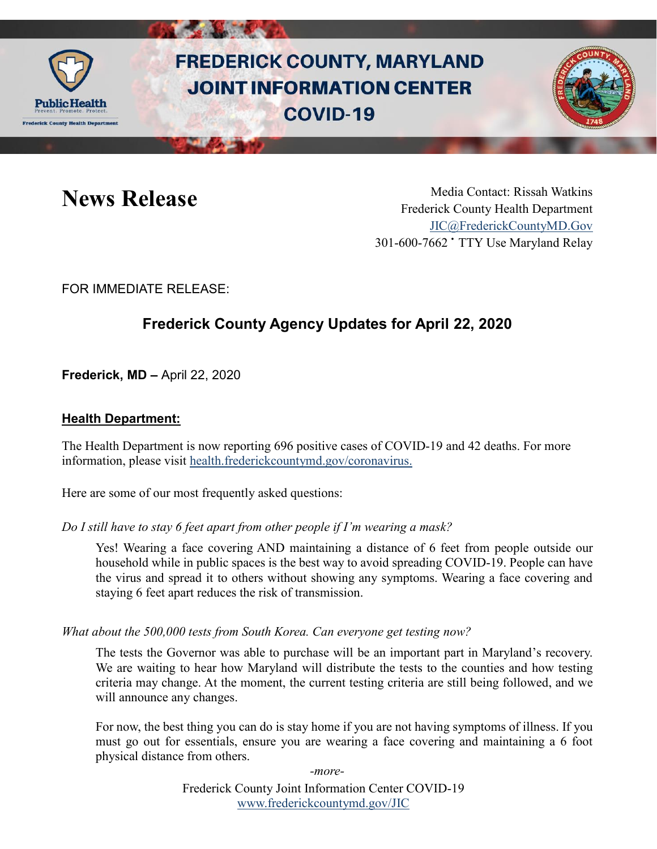

# **FREDERICK COUNTY, MARYLAND JOINT INFORMATION CENTER COVID-19**



News Release Media Contact: Rissah Watkins Frederick County Health Department [JIC@FrederickCountyMD.Gov](mailto:JIC@FrederickCountyMD.Gov) 301-600-7662 • TTY Use Maryland Relay

FOR IMMEDIATE RELEASE:

## **Frederick County Agency Updates for April 22, 2020**

**Frederick, MD –** April 22, 2020

#### **Health Department:**

The Health Department is now reporting 696 positive cases of COVID-19 and 42 deaths. For more information, please visit [health.frederickcountymd.gov/coronavirus.](https://health.frederickcountymd.gov/614/Novel-Coronavirus-COVID-19)

Here are some of our most frequently asked questions:

*Do I still have to stay 6 feet apart from other people if I'm wearing a mask?*

Yes! Wearing a face covering AND maintaining a distance of 6 feet from people outside our household while in public spaces is the best way to avoid spreading COVID-19. People can have the virus and spread it to others without showing any symptoms. Wearing a face covering and staying 6 feet apart reduces the risk of transmission.

*What about the 500,000 tests from South Korea. Can everyone get testing now?*

The tests the Governor was able to purchase will be an important part in Maryland's recovery. We are waiting to hear how Maryland will distribute the tests to the counties and how testing criteria may change. At the moment, the current testing criteria are still being followed, and we will announce any changes.

For now, the best thing you can do is stay home if you are not having symptoms of illness. If you must go out for essentials, ensure you are wearing a face covering and maintaining a 6 foot physical distance from others.

*-more-*

Frederick County Joint Information Center COVID-19 [www.frederickcountymd.gov/JIC](https://frederickcountymd.gov/JIC)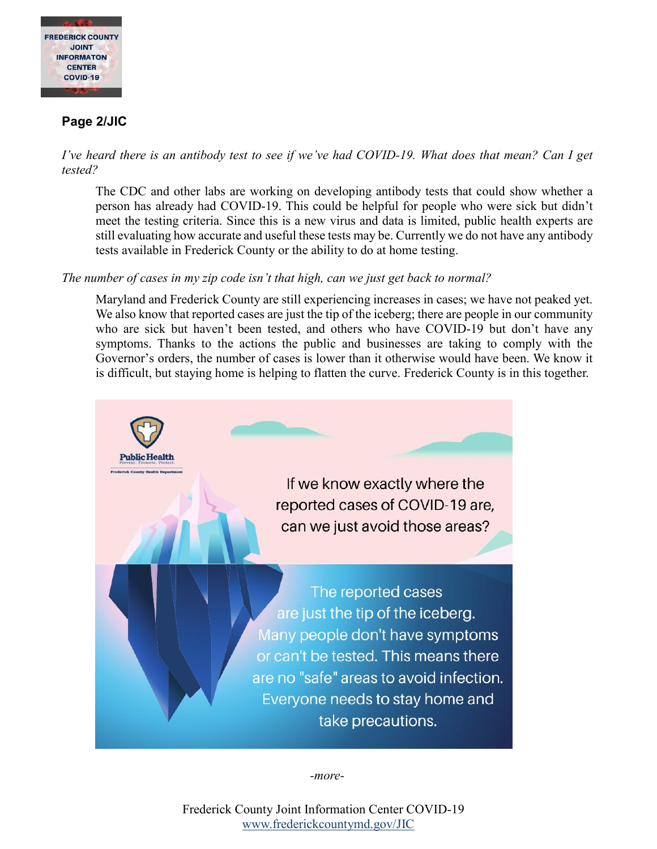

#### **Page 2/JIC**

*I've heard there is an antibody test to see if we've had COVID-19. What does that mean? Can I get tested?*

The CDC and other labs are working on developing antibody tests that could show whether a person has already had COVID-19. This could be helpful for people who were sick but didn't meet the testing criteria. Since this is a new virus and data is limited, public health experts are still evaluating how accurate and useful these tests may be. Currently we do not have any antibody tests available in Frederick County or the ability to do at home testing.

#### *The number of cases in my zip code isn't that high, can we just get back to normal?*

Maryland and Frederick County are still experiencing increases in cases; we have not peaked yet. We also know that reported cases are just the tip of the iceberg; there are people in our community who are sick but haven't been tested, and others who have COVID-19 but don't have any symptoms. Thanks to the actions the public and businesses are taking to comply with the Governor's orders, the number of cases is lower than it otherwise would have been. We know it is difficult, but staying home is helping to flatten the curve. Frederick County is in this together.



*-more-*